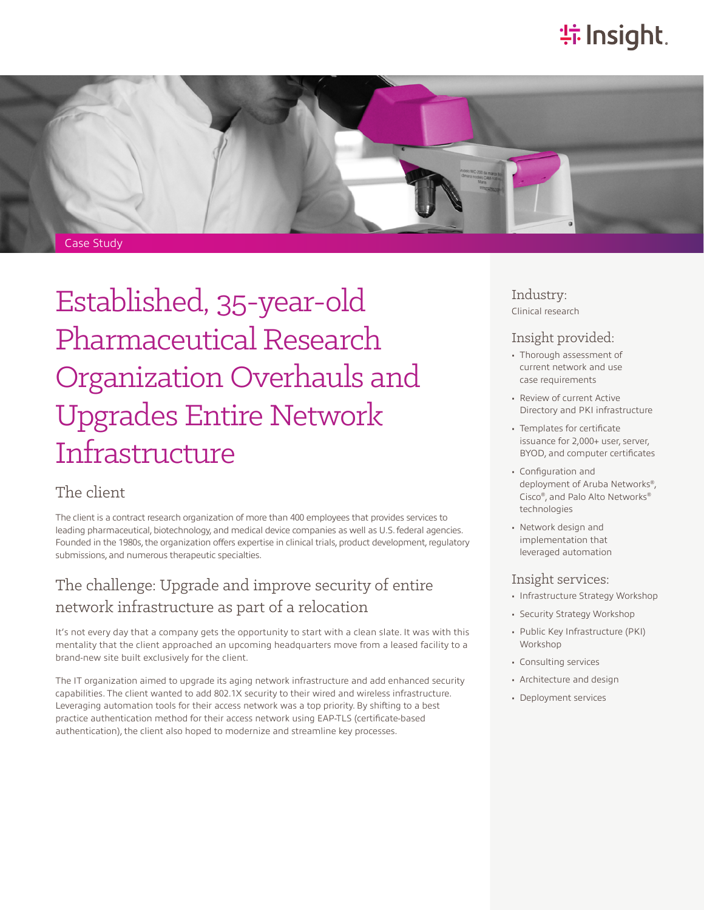# **特Insight**



Established, 35-year-old Pharmaceutical Research Organization Overhauls and Upgrades Entire Network Infrastructure

### The client

The client is a contract research organization of more than 400 employees that provides services to leading pharmaceutical, biotechnology, and medical device companies as well as U.S. federal agencies. Founded in the 1980s, the organization offers expertise in clinical trials, product development, regulatory submissions, and numerous therapeutic specialties.

### The challenge: Upgrade and improve security of entire network infrastructure as part of a relocation

It's not every day that a company gets the opportunity to start with a clean slate. It was with this mentality that the client approached an upcoming headquarters move from a leased facility to a brand-new site built exclusively for the client.

The IT organization aimed to upgrade its aging network infrastructure and add enhanced security capabilities. The client wanted to add 802.1X security to their wired and wireless infrastructure. Leveraging automation tools for their access network was a top priority. By shifting to a best practice authentication method for their access network using EAP-TLS (certificate-based authentication), the client also hoped to modernize and streamline key processes.

#### Industry: Clinical research

### Insight provided:

- Thorough assessment of current network and use case requirements
- Review of current Active Directory and PKI infrastructure
- Templates for certificate issuance for 2,000+ user, server, BYOD, and computer certificates
- Configuration and deployment of Aruba Networks®, Cisco®, and Palo Alto Networks® technologies
- Network design and implementation that leveraged automation

### Insight services:

- Infrastructure Strategy Workshop
- Security Strategy Workshop
- Public Key Infrastructure (PKI) Workshop
- Consulting services
- Architecture and design
- Deployment services